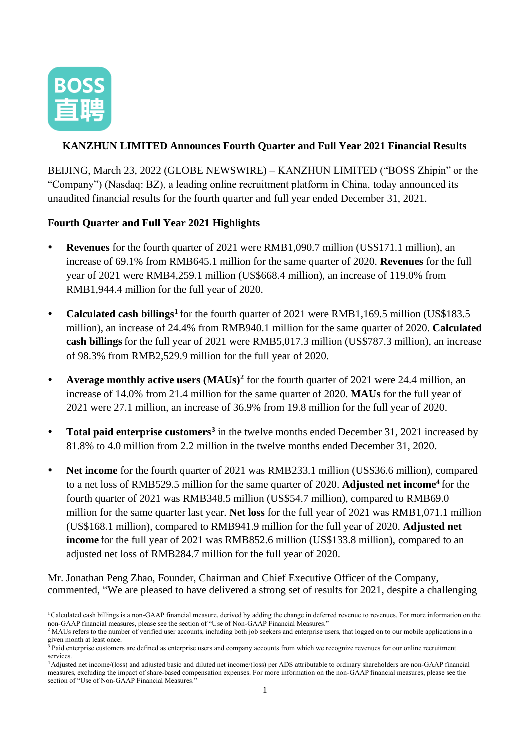

## **KANZHUN LIMITED Announces Fourth Quarter and Full Year 2021 Financial Results**

BEIJING, March 23, 2022 (GLOBE NEWSWIRE) – KANZHUN LIMITED ("BOSS Zhipin" or the "Company") (Nasdaq: BZ), a leading online recruitment platform in China, today announced its unaudited financial results for the fourth quarter and full year ended December 31, 2021.

## **Fourth Quarter and Full Year 2021 Highlights**

- **Revenues** for the fourth quarter of 2021 were RMB1,090.7 million (US\$171.1 million), an increase of 69.1% from RMB645.1 million for the same quarter of 2020. **Revenues** for the full year of 2021 were RMB4,259.1 million (US\$668.4 million), an increase of 119.0% from RMB1,944.4 million for the full year of 2020.
- Calculated cash billings<sup>1</sup> for the fourth quarter of 2021 were RMB1,169.5 million (US\$183.5) million), an increase of 24.4% from RMB940.1 million for the same quarter of 2020. **Calculated cash billings**for the full year of 2021 were RMB5,017.3 million (US\$787.3 million), an increase of 98.3% from RMB2,529.9 million for the full year of 2020.
- **Average monthly active users (MAUs)<sup>2</sup>** for the fourth quarter of 2021 were 24.4 million, an increase of 14.0% from 21.4 million for the same quarter of 2020. **MAUs** for the full year of 2021 were 27.1 million, an increase of 36.9% from 19.8 million for the full year of 2020.
- **Total paid enterprise customers<sup>3</sup>** in the twelve months ended December 31, 2021 increased by 81.8% to 4.0 million from 2.2 million in the twelve months ended December 31, 2020.
- Net income for the fourth quarter of 2021 was RMB233.1 million (US\$36.6 million), compared to a net loss of RMB529.5 million for the same quarter of 2020. **Adjusted net income<sup>4</sup>** for the fourth quarter of 2021 was RMB348.5 million (US\$54.7 million), compared to RMB69.0 million for the same quarter last year. **Net loss** for the full year of 2021 was RMB1,071.1 million (US\$168.1 million), compared to RMB941.9 million for the full year of 2020. **Adjusted net income** for the full year of 2021 was RMB852.6 million (US\$133.8 million), compared to an adjusted net loss of RMB284.7 million for the full year of 2020.

Mr. Jonathan Peng Zhao, Founder, Chairman and Chief Executive Officer of the Company, commented, "We are pleased to have delivered a strong set of results for 2021, despite a challenging

<sup>&</sup>lt;sup>1</sup>Calculated cash billings is a non-GAAP financial measure, derived by adding the change in deferred revenue to revenues. For more information on the non-GAAP financial measures, please see the section of "Use of Non-GAAP Financial Measures."

<sup>&</sup>lt;sup>2</sup> MAUs refers to the number of verified user accounts, including both job seekers and enterprise users, that logged on to our mobile applications in a given month at least once.

 $\frac{3}{3}$  Paid enterprise customers are defined as enterprise users and company accounts from which we recognize revenues for our online recruitment services.

<sup>4</sup> Adjusted net income/(loss) and adjusted basic and diluted net income/(loss) per ADS attributable to ordinary shareholders are non-GAAP financial measures, excluding the impact of share-based compensation expenses. For more information on the non-GAAP financial measures, please see the section of "Use of Non-GAAP Financial Measures."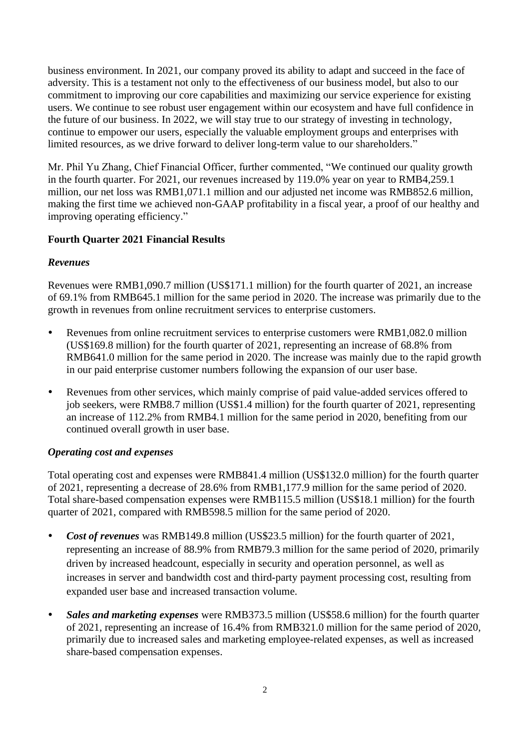business environment. In 2021, our company proved its ability to adapt and succeed in the face of adversity. This is a testament not only to the effectiveness of our business model, but also to our commitment to improving our core capabilities and maximizing our service experience for existing users. We continue to see robust user engagement within our ecosystem and have full confidence in the future of our business. In 2022, we will stay true to our strategy of investing in technology, continue to empower our users, especially the valuable employment groups and enterprises with limited resources, as we drive forward to deliver long-term value to our shareholders."

Mr. Phil Yu Zhang, Chief Financial Officer, further commented, "We continued our quality growth in the fourth quarter. For 2021, our revenues increased by 119.0% year on year to RMB4,259.1 million, our net loss was RMB1,071.1 million and our adjusted net income was RMB852.6 million, making the first time we achieved non-GAAP profitability in a fiscal year, a proof of our healthy and improving operating efficiency."

## **Fourth Quarter 2021 Financial Results**

#### *Revenues*

Revenues were RMB1,090.7 million (US\$171.1 million) for the fourth quarter of 2021, an increase of 69.1% from RMB645.1 million for the same period in 2020. The increase was primarily due to the growth in revenues from online recruitment services to enterprise customers.

- Revenues from online recruitment services to enterprise customers were RMB1,082.0 million (US\$169.8 million) for the fourth quarter of 2021, representing an increase of 68.8% from RMB641.0 million for the same period in 2020. The increase was mainly due to the rapid growth in our paid enterprise customer numbers following the expansion of our user base.
- Revenues from other services, which mainly comprise of paid value-added services offered to job seekers, were RMB8.7 million (US\$1.4 million) for the fourth quarter of 2021, representing an increase of 112.2% from RMB4.1 million for the same period in 2020, benefiting from our continued overall growth in user base.

#### *Operating cost and expenses*

Total operating cost and expenses were RMB841.4 million (US\$132.0 million) for the fourth quarter of 2021, representing a decrease of 28.6% from RMB1,177.9 million for the same period of 2020. Total share-based compensation expenses were RMB115.5 million (US\$18.1 million) for the fourth quarter of 2021, compared with RMB598.5 million for the same period of 2020.

- *Cost of revenues* was RMB149.8 million (US\$23.5 million) for the fourth quarter of 2021, representing an increase of 88.9% from RMB79.3 million for the same period of 2020, primarily driven by increased headcount, especially in security and operation personnel, as well as increases in server and bandwidth cost and third-party payment processing cost, resulting from expanded user base and increased transaction volume.
- *Sales and marketing expenses* were RMB373.5 million (US\$58.6 million) for the fourth quarter of 2021, representing an increase of 16.4% from RMB321.0 million for the same period of 2020, primarily due to increased sales and marketing employee-related expenses, as well as increased share-based compensation expenses.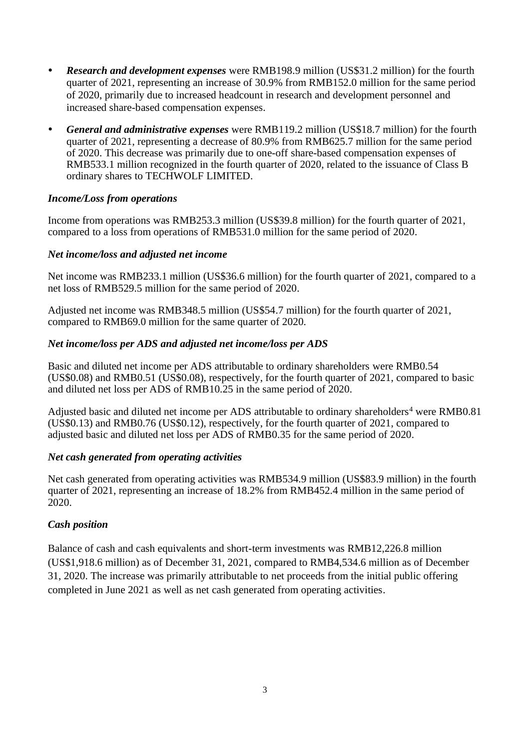- *Research and development expenses* were RMB198.9 million (US\$31.2 million) for the fourth quarter of 2021, representing an increase of 30.9% from RMB152.0 million for the same period of 2020, primarily due to increased headcount in research and development personnel and increased share-based compensation expenses.
- *General and administrative expenses* were RMB119.2 million (US\$18.7 million) for the fourth quarter of 2021, representing a decrease of 80.9% from RMB625.7 million for the same period of 2020. This decrease was primarily due to one-off share-based compensation expenses of RMB533.1 million recognized in the fourth quarter of 2020, related to the issuance of Class B ordinary shares to TECHWOLF LIMITED.

#### *Income/Loss from operations*

Income from operations was RMB253.3 million (US\$39.8 million) for the fourth quarter of 2021, compared to a loss from operations of RMB531.0 million for the same period of 2020.

#### *Net income/loss and adjusted net income*

Net income was RMB233.1 million (US\$36.6 million) for the fourth quarter of 2021, compared to a net loss of RMB529.5 million for the same period of 2020.

Adjusted net income was RMB348.5 million (US\$54.7 million) for the fourth quarter of 2021, compared to RMB69.0 million for the same quarter of 2020.

#### *Net income/loss per ADS and adjusted net income/loss per ADS*

Basic and diluted net income per ADS attributable to ordinary shareholders were RMB0.54 (US\$0.08) and RMB0.51 (US\$0.08), respectively, for the fourth quarter of 2021, compared to basic and diluted net loss per ADS of RMB10.25 in the same period of 2020.

Adjusted basic and diluted net income per ADS attributable to ordinary shareholders<sup>4</sup> were RMB0.81 (US\$0.13) and RMB0.76 (US\$0.12), respectively, for the fourth quarter of 2021, compared to adjusted basic and diluted net loss per ADS of RMB0.35 for the same period of 2020.

#### *Net cash generated from operating activities*

Net cash generated from operating activities was RMB534.9 million (US\$83.9 million) in the fourth quarter of 2021, representing an increase of 18.2% from RMB452.4 million in the same period of 2020.

#### *Cash position*

Balance of cash and cash equivalents and short-term investments was RMB12,226.8 million (US\$1,918.6 million) as of December 31, 2021, compared to RMB4,534.6 million as of December 31, 2020. The increase was primarily attributable to net proceeds from the initial public offering completed in June 2021 as well as net cash generated from operating activities.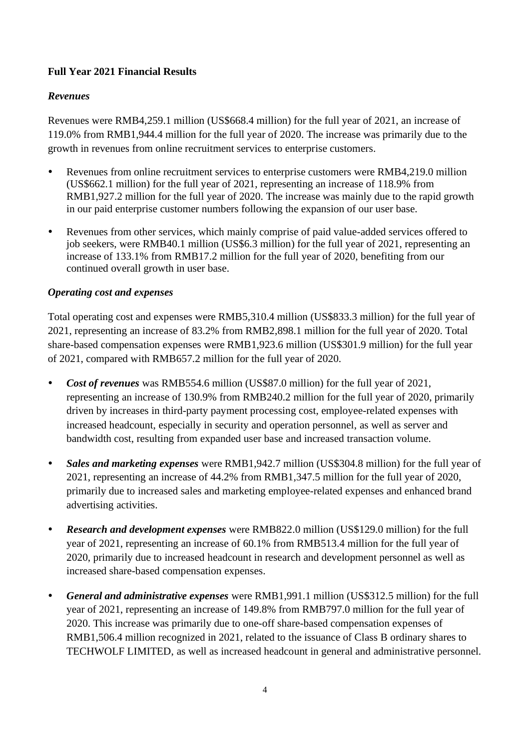# **Full Year 2021 Financial Results**

#### *Revenues*

Revenues were RMB4,259.1 million (US\$668.4 million) for the full year of 2021, an increase of 119.0% from RMB1,944.4 million for the full year of 2020. The increase was primarily due to the growth in revenues from online recruitment services to enterprise customers.

- Revenues from online recruitment services to enterprise customers were RMB4,219.0 million (US\$662.1 million) for the full year of 2021, representing an increase of 118.9% from RMB1,927.2 million for the full year of 2020. The increase was mainly due to the rapid growth in our paid enterprise customer numbers following the expansion of our user base.
- Revenues from other services, which mainly comprise of paid value-added services offered to job seekers, were RMB40.1 million (US\$6.3 million) for the full year of 2021, representing an increase of 133.1% from RMB17.2 million for the full year of 2020, benefiting from our continued overall growth in user base.

## *Operating cost and expenses*

Total operating cost and expenses were RMB5,310.4 million (US\$833.3 million) for the full year of 2021, representing an increase of 83.2% from RMB2,898.1 million for the full year of 2020. Total share-based compensation expenses were RMB1,923.6 million (US\$301.9 million) for the full year of 2021, compared with RMB657.2 million for the full year of 2020.

- *Cost of revenues* was RMB554.6 million (US\$87.0 million) for the full year of 2021, representing an increase of 130.9% from RMB240.2 million for the full year of 2020, primarily driven by increases in third-party payment processing cost, employee-related expenses with increased headcount, especially in security and operation personnel, as well as server and bandwidth cost, resulting from expanded user base and increased transaction volume.
- *Sales and marketing expenses* were RMB1,942.7 million (US\$304.8 million) for the full year of 2021, representing an increase of 44.2% from RMB1,347.5 million for the full year of 2020, primarily due to increased sales and marketing employee-related expenses and enhanced brand advertising activities.
- *Research and development expenses* were RMB822.0 million (US\$129.0 million) for the full year of 2021, representing an increase of 60.1% from RMB513.4 million for the full year of 2020, primarily due to increased headcount in research and development personnel as well as increased share-based compensation expenses.
- *General and administrative expenses* were RMB1,991.1 million (US\$312.5 million) for the full year of 2021, representing an increase of 149.8% from RMB797.0 million for the full year of 2020. This increase was primarily due to one-off share-based compensation expenses of RMB1,506.4 million recognized in 2021, related to the issuance of Class B ordinary shares to TECHWOLF LIMITED, as well as increased headcount in general and administrative personnel.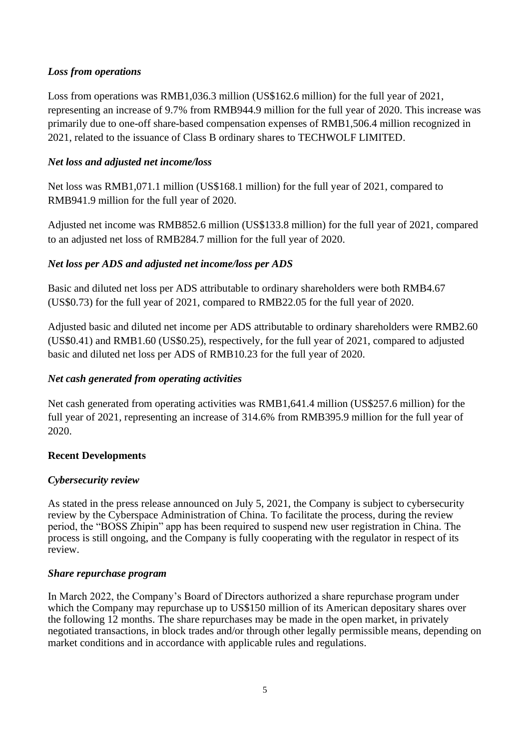## *Loss from operations*

Loss from operations was RMB1,036.3 million (US\$162.6 million) for the full year of 2021, representing an increase of 9.7% from RMB944.9 million for the full year of 2020. This increase was primarily due to one-off share-based compensation expenses of RMB1,506.4 million recognized in 2021, related to the issuance of Class B ordinary shares to TECHWOLF LIMITED.

## *Net loss and adjusted net income/loss*

Net loss was RMB1,071.1 million (US\$168.1 million) for the full year of 2021, compared to RMB941.9 million for the full year of 2020.

Adjusted net income was RMB852.6 million (US\$133.8 million) for the full year of 2021, compared to an adjusted net loss of RMB284.7 million for the full year of 2020.

## *Net loss per ADS and adjusted net income/loss per ADS*

Basic and diluted net loss per ADS attributable to ordinary shareholders were both RMB4.67 (US\$0.73) for the full year of 2021, compared to RMB22.05 for the full year of 2020.

Adjusted basic and diluted net income per ADS attributable to ordinary shareholders were RMB2.60 (US\$0.41) and RMB1.60 (US\$0.25), respectively, for the full year of 2021, compared to adjusted basic and diluted net loss per ADS of RMB10.23 for the full year of 2020.

# *Net cash generated from operating activities*

Net cash generated from operating activities was RMB1,641.4 million (US\$257.6 million) for the full year of 2021, representing an increase of 314.6% from RMB395.9 million for the full year of 2020.

#### **Recent Developments**

#### *Cybersecurity review*

As stated in the press release announced on July 5, 2021, the Company is subject to cybersecurity review by the Cyberspace Administration of China. To facilitate the process, during the review period, the "BOSS Zhipin" app has been required to suspend new user registration in China. The process is still ongoing, and the Company is fully cooperating with the regulator in respect of its review.

#### *Share repurchase program*

In March 2022, the Company's Board of Directors authorized a share repurchase program under which the Company may repurchase up to US\$150 million of its American depositary shares over the following 12 months. The share repurchases may be made in the open market, in privately negotiated transactions, in block trades and/or through other legally permissible means, depending on market conditions and in accordance with applicable rules and regulations.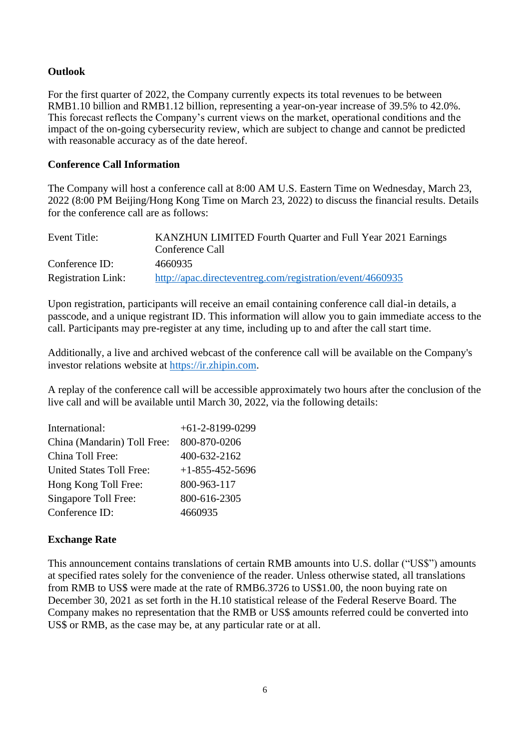#### **Outlook**

For the first quarter of 2022, the Company currently expects its total revenues to be between RMB1.10 billion and RMB1.12 billion, representing a year-on-year increase of 39.5% to 42.0%. This forecast reflects the Company's current views on the market, operational conditions and the impact of the on-going cybersecurity review, which are subject to change and cannot be predicted with reasonable accuracy as of the date hereof.

#### **Conference Call Information**

The Company will host a conference call at 8:00 AM U.S. Eastern Time on Wednesday, March 23, 2022 (8:00 PM Beijing/Hong Kong Time on March 23, 2022) to discuss the financial results. Details for the conference call are as follows:

| Event Title:              | KANZHUN LIMITED Fourth Quarter and Full Year 2021 Earnings |
|---------------------------|------------------------------------------------------------|
|                           | Conference Call                                            |
| Conference ID:            | 4660935                                                    |
| <b>Registration Link:</b> | http://apac.directeventreg.com/registration/event/4660935  |

Upon registration, participants will receive an email containing conference call dial-in details, a passcode, and a unique registrant ID. This information will allow you to gain immediate access to the call. Participants may pre-register at any time, including up to and after the call start time.

Additionally, a live and archived webcast of the conference call will be available on the Company's investor relations website at [https://ir.zhipin.com.](https://ir.zhipin.com/)

A replay of the conference call will be accessible approximately two hours after the conclusion of the live call and will be available until March 30, 2022, via the following details:

| International:                  | $+61-2-8199-0299$       |
|---------------------------------|-------------------------|
| China (Mandarin) Toll Free:     | 800-870-0206            |
| China Toll Free:                | 400-632-2162            |
| <b>United States Toll Free:</b> | $+1 - 855 - 452 - 5696$ |
| Hong Kong Toll Free:            | 800-963-117             |
| Singapore Toll Free:            | 800-616-2305            |
| Conference ID:                  | 4660935                 |

#### **Exchange Rate**

This announcement contains translations of certain RMB amounts into U.S. dollar ("US\$") amounts at specified rates solely for the convenience of the reader. Unless otherwise stated, all translations from RMB to US\$ were made at the rate of RMB6.3726 to US\$1.00, the noon buying rate on December 30, 2021 as set forth in the H.10 statistical release of the Federal Reserve Board. The Company makes no representation that the RMB or US\$ amounts referred could be converted into US\$ or RMB, as the case may be, at any particular rate or at all.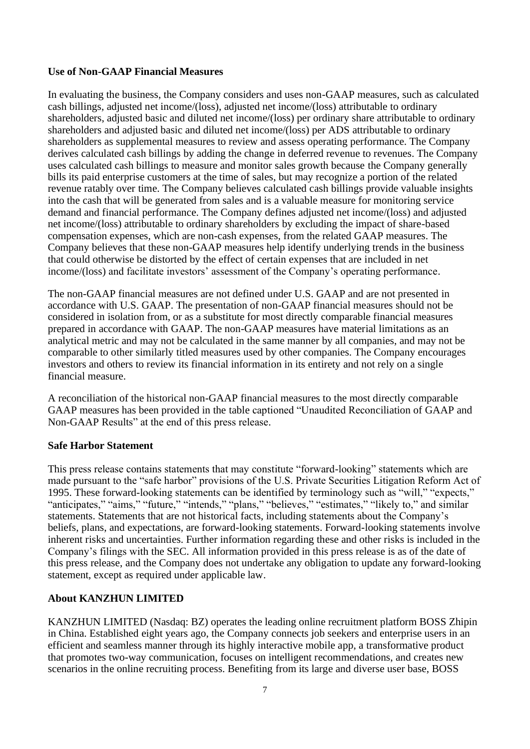#### **Use of Non-GAAP Financial Measures**

In evaluating the business, the Company considers and uses non-GAAP measures, such as calculated cash billings, adjusted net income/(loss), adjusted net income/(loss) attributable to ordinary shareholders, adjusted basic and diluted net income/(loss) per ordinary share attributable to ordinary shareholders and adjusted basic and diluted net income/(loss) per ADS attributable to ordinary shareholders as supplemental measures to review and assess operating performance. The Company derives calculated cash billings by adding the change in deferred revenue to revenues. The Company uses calculated cash billings to measure and monitor sales growth because the Company generally bills its paid enterprise customers at the time of sales, but may recognize a portion of the related revenue ratably over time. The Company believes calculated cash billings provide valuable insights into the cash that will be generated from sales and is a valuable measure for monitoring service demand and financial performance. The Company defines adjusted net income/(loss) and adjusted net income/(loss) attributable to ordinary shareholders by excluding the impact of share-based compensation expenses, which are non-cash expenses, from the related GAAP measures. The Company believes that these non-GAAP measures help identify underlying trends in the business that could otherwise be distorted by the effect of certain expenses that are included in net income/(loss) and facilitate investors' assessment of the Company's operating performance.

The non-GAAP financial measures are not defined under U.S. GAAP and are not presented in accordance with U.S. GAAP. The presentation of non-GAAP financial measures should not be considered in isolation from, or as a substitute for most directly comparable financial measures prepared in accordance with GAAP. The non-GAAP measures have material limitations as an analytical metric and may not be calculated in the same manner by all companies, and may not be comparable to other similarly titled measures used by other companies. The Company encourages investors and others to review its financial information in its entirety and not rely on a single financial measure.

A reconciliation of the historical non-GAAP financial measures to the most directly comparable GAAP measures has been provided in the table captioned "Unaudited Reconciliation of GAAP and Non-GAAP Results" at the end of this press release.

#### **Safe Harbor Statement**

This press release contains statements that may constitute "forward-looking" statements which are made pursuant to the "safe harbor" provisions of the U.S. Private Securities Litigation Reform Act of 1995. These forward-looking statements can be identified by terminology such as "will," "expects," "anticipates," "aims," "future," "intends," "plans," "believes," "estimates," "likely to," and similar statements. Statements that are not historical facts, including statements about the Company's beliefs, plans, and expectations, are forward-looking statements. Forward-looking statements involve inherent risks and uncertainties. Further information regarding these and other risks is included in the Company's filings with the SEC. All information provided in this press release is as of the date of this press release, and the Company does not undertake any obligation to update any forward-looking statement, except as required under applicable law.

#### **About KANZHUN LIMITED**

KANZHUN LIMITED (Nasdaq: BZ) operates the leading online recruitment platform BOSS Zhipin in China. Established eight years ago, the Company connects job seekers and enterprise users in an efficient and seamless manner through its highly interactive mobile app, a transformative product that promotes two-way communication, focuses on intelligent recommendations, and creates new scenarios in the online recruiting process. Benefiting from its large and diverse user base, BOSS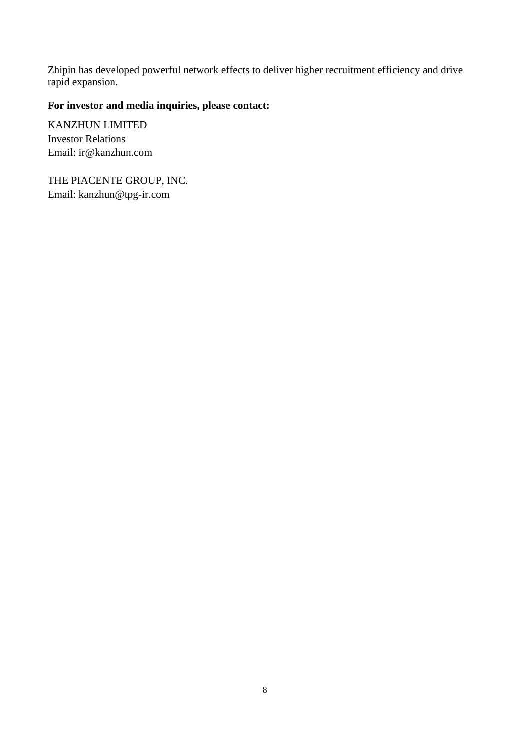Zhipin has developed powerful network effects to deliver higher recruitment efficiency and drive rapid expansion.

# **For investor and media inquiries, please contact:**

KANZHUN LIMITED Investor Relations Email: ir@kanzhun.com

THE PIACENTE GROUP, INC. Email: kanzhun@tpg-ir.com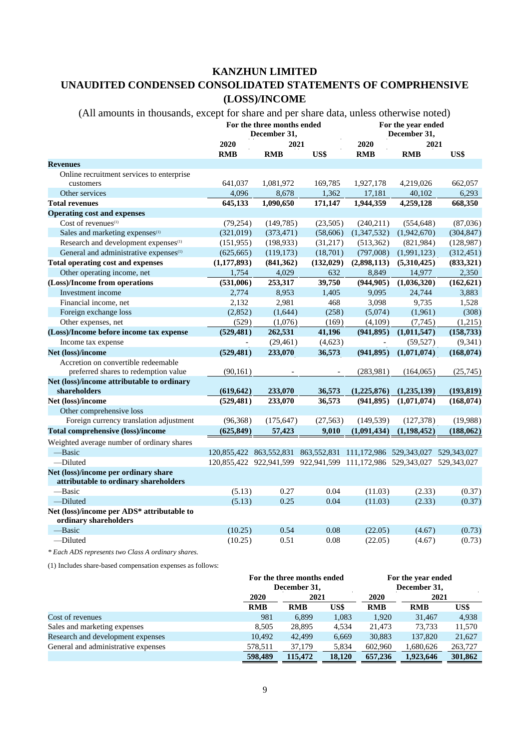#### **KANZHUN LIMITED**

# **UNAUDITED CONDENSED CONSOLIDATED STATEMENTS OF COMPRHENSIVE (LOSS)/INCOME**

| (All amounts in thousands, except for share and per share data, unless otherwise noted) |               |                                            |                                                                         |                                    |               |            |
|-----------------------------------------------------------------------------------------|---------------|--------------------------------------------|-------------------------------------------------------------------------|------------------------------------|---------------|------------|
|                                                                                         |               | For the three months ended<br>December 31, |                                                                         | For the year ended<br>December 31, |               |            |
|                                                                                         | 2020<br>2021  |                                            |                                                                         | 2020                               | 2021          |            |
|                                                                                         | <b>RMB</b>    | <b>RMB</b>                                 | US\$                                                                    | <b>RMB</b>                         | <b>RMB</b>    | US\$       |
| <b>Revenues</b>                                                                         |               |                                            |                                                                         |                                    |               |            |
| Online recruitment services to enterprise                                               |               |                                            |                                                                         |                                    |               |            |
| customers                                                                               | 641,037       | 1,081,972                                  | 169,785                                                                 | 1,927,178                          | 4,219,026     | 662,057    |
| Other services                                                                          | 4,096         | 8,678                                      | 1,362                                                                   | 17,181                             | 40,102        | 6,293      |
| <b>Total revenues</b>                                                                   | 645,133       | 1,090,650                                  | 171,147                                                                 | 1,944,359                          | 4,259,128     | 668,350    |
| <b>Operating cost and expenses</b>                                                      |               |                                            |                                                                         |                                    |               |            |
| Cost of revenues <sup>(1)</sup>                                                         | (79, 254)     | (149, 785)                                 | (23,505)                                                                | (240,211)                          | (554, 648)    | (87,036)   |
| Sales and marketing expenses <sup>(1)</sup>                                             | (321,019)     | (373, 471)                                 | (58, 606)                                                               | (1,347,532)                        | (1,942,670)   | (304, 847) |
| Research and development expenses <sup>(1)</sup>                                        | (151, 955)    | (198, 933)                                 | (31,217)                                                                | (513, 362)                         | (821,984)     | (128, 987) |
| General and administrative expenses <sup>(1)</sup>                                      | (625, 665)    | (119, 173)                                 | (18,701)                                                                | (797,008)                          | (1,991,123)   | (312, 451) |
| <b>Total operating cost and expenses</b>                                                | (1, 177, 893) | (841, 362)                                 | (132, 029)                                                              | (2,898,113)                        | (5,310,425)   | (833, 321) |
| Other operating income, net                                                             | 1,754         | 4,029                                      | 632                                                                     | 8,849                              | 14,977        | 2,350      |
| (Loss)/Income from operations                                                           | (531,006)     | 253,317                                    | 39,750                                                                  | (944, 905)                         | (1,036,320)   | (162, 621) |
| Investment income                                                                       | 2,774         | 8,953                                      | 1,405                                                                   | 9,095                              | 24,744        | 3,883      |
| Financial income, net                                                                   | 2,132         | 2,981                                      | 468                                                                     | 3,098                              | 9,735         | 1,528      |
| Foreign exchange loss                                                                   | (2,852)       | (1,644)                                    | (258)                                                                   | (5,074)                            | (1,961)       | (308)      |
| Other expenses, net                                                                     | (529)         | (1,076)                                    | (169)                                                                   | (4,109)                            | (7,745)       | (1,215)    |
| (Loss)/Income before income tax expense                                                 | (529, 481)    | 262,531                                    | 41,196                                                                  | (941, 895)                         | (1,011,547)   | (158, 733) |
| Income tax expense                                                                      |               | (29, 461)                                  | (4,623)                                                                 | $\overline{a}$                     | (59, 527)     | (9, 341)   |
| Net (loss)/income                                                                       | (529, 481)    | 233,070                                    | 36,573                                                                  | (941, 895)                         | (1,071,074)   | (168, 074) |
| Accretion on convertible redeemable                                                     |               |                                            |                                                                         |                                    |               |            |
| preferred shares to redemption value                                                    | (90, 161)     |                                            |                                                                         | (283,981)                          | (164, 065)    | (25,745)   |
| Net (loss)/income attributable to ordinary                                              |               |                                            |                                                                         |                                    |               |            |
| shareholders                                                                            | (619, 642)    | 233,070                                    | 36,573                                                                  | (1,225,876)                        | (1,235,139)   | (193, 819) |
| Net (loss)/income                                                                       | (529, 481)    | 233,070                                    | 36,573                                                                  | (941, 895)                         | (1,071,074)   | (168, 074) |
| Other comprehensive loss                                                                |               |                                            |                                                                         |                                    |               |            |
| Foreign currency translation adjustment                                                 | (96, 368)     | (175, 647)                                 | (27, 563)                                                               | (149, 539)                         | (127, 378)    | (19,988)   |
| <b>Total comprehensive (loss)/income</b>                                                | (625, 849)    | 57,423                                     | 9,010                                                                   | (1,091,434)                        | (1, 198, 452) | (188, 062) |
| Weighted average number of ordinary shares                                              |               |                                            |                                                                         |                                    |               |            |
| -Basic                                                                                  |               |                                            | 120,855,422 863,552,831 863,552,831 111,172,986 529,343,027 529,343,027 |                                    |               |            |
| -Diluted                                                                                |               |                                            | 120,855,422 922,941,599 922,941,599 111,172,986 529,343,027 529,343,027 |                                    |               |            |
| Net (loss)/income per ordinary share                                                    |               |                                            |                                                                         |                                    |               |            |
| attributable to ordinary shareholders                                                   |               |                                            |                                                                         |                                    |               |            |
| -Basic                                                                                  | (5.13)        | 0.27                                       | 0.04                                                                    | (11.03)                            | (2.33)        | (0.37)     |
| -Diluted                                                                                | (5.13)        | 0.25                                       | 0.04                                                                    | (11.03)                            | (2.33)        | (0.37)     |
| Net (loss)/income per ADS* attributable to                                              |               |                                            |                                                                         |                                    |               |            |
| ordinary shareholders                                                                   |               |                                            |                                                                         |                                    |               |            |
| -Basic                                                                                  | (10.25)       | 0.54                                       | 0.08                                                                    | (22.05)                            | (4.67)        | (0.73)     |
| -Diluted                                                                                | (10.25)       | 0.51                                       | 0.08                                                                    | (22.05)                            | (4.67)        | (0.73)     |
| * Each ADS represents two Class A ordinary shares.                                      |               |                                            |                                                                         |                                    |               |            |

(1) Includes share-based compensation expenses as follows:

|                                     |            | For the three months ended<br>December 31, |        |            | For the year ended<br>December 31, |         |  |
|-------------------------------------|------------|--------------------------------------------|--------|------------|------------------------------------|---------|--|
|                                     | 2020       | 2021                                       |        | 2020       | 2021                               |         |  |
|                                     | <b>RMB</b> | <b>RMB</b>                                 | US\$   | <b>RMB</b> | <b>RMB</b>                         | US\$    |  |
| Cost of revenues                    | 981        | 6,899                                      | 1,083  | 1,920      | 31,467                             | 4,938   |  |
| Sales and marketing expenses        | 8.505      | 28,895                                     | 4,534  | 21.473     | 73.733                             | 11,570  |  |
| Research and development expenses   | 10.492     | 42,499                                     | 6,669  | 30,883     | 137,820                            | 21,627  |  |
| General and administrative expenses | 578,511    | 37,179                                     | 5,834  | 602,960    | 1,680,626                          | 263,727 |  |
|                                     | 598,489    | 115,472                                    | 18,120 | 657,236    | 1,923,646                          | 301,862 |  |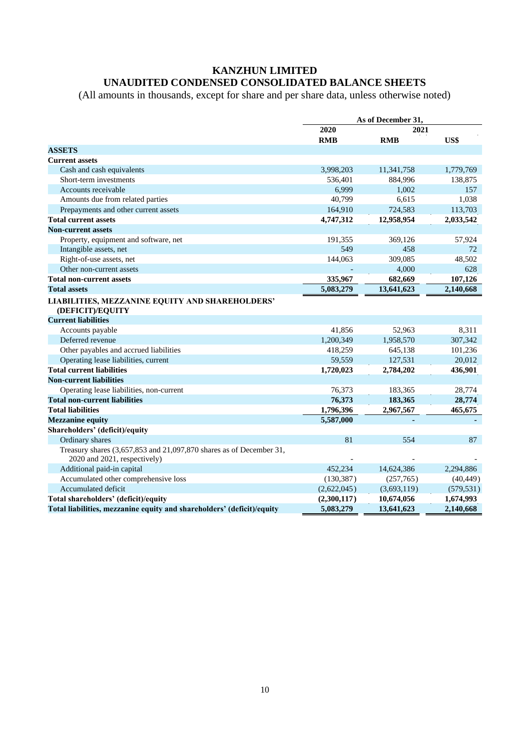## **KANZHUN LIMITED UNAUDITED CONDENSED CONSOLIDATED BALANCE SHEETS**

(All amounts in thousands, except for share and per share data, unless otherwise noted)

| 2020<br>2021<br><b>RMB</b><br>US\$<br><b>RMB</b><br><b>ASSETS</b><br><b>Current assets</b><br>Cash and cash equivalents<br>3,998,203<br>11,341,758<br>1,779,769<br>Short-term investments<br>536,401<br>884,996<br>138,875<br>6.999<br>1,002<br>Accounts receivable<br>157<br>Amounts due from related parties<br>40,799<br>6,615<br>1,038<br>164,910<br>724.583<br>113,703<br>Prepayments and other current assets<br><b>Total current assets</b><br>4,747,312<br>12,958,954<br>2,033,542<br><b>Non-current assets</b><br>Property, equipment and software, net<br>191,355<br>57,924<br>369,126<br>549<br>458<br>Intangible assets, net<br>72<br>48,502<br>Right-of-use assets, net<br>144,063<br>309,085<br>Other non-current assets<br>4,000<br>628<br>335,967<br>107,126<br>682,669<br><b>Total non-current assets</b><br><b>Total assets</b><br>5,083,279<br>13,641,623<br>2,140,668<br>LIABILITIES, MEZZANINE EQUITY AND SHAREHOLDERS'<br>(DEFICIT)/EQUITY<br><b>Current liabilities</b><br>Accounts payable<br>41,856<br>52,963<br>8,311<br>Deferred revenue<br>1,958,570<br>307,342<br>1,200,349<br>Other payables and accrued liabilities<br>418,259<br>645,138<br>101,236<br>Operating lease liabilities, current<br>127,531<br>59,559<br>20,012<br><b>Total current liabilities</b><br>1,720,023<br>2,784,202<br>436,901<br><b>Non-current liabilities</b><br>76,373<br>Operating lease liabilities, non-current<br>183,365<br>28,774<br><b>Total non-current liabilities</b><br>76,373<br>183,365<br>28,774<br><b>Total liabilities</b><br>1,796,396<br>2,967,567<br>465,675<br>5,587,000<br><b>Mezzanine equity</b><br>Shareholders' (deficit)/equity<br>81<br>Ordinary shares<br>554<br>87<br>Treasury shares (3,657,853 and 21,097,870 shares as of December 31,<br>2020 and 2021, respectively)<br>Additional paid-in capital<br>452,234<br>14,624,386<br>2,294,886<br>Accumulated other comprehensive loss<br>(130, 387)<br>(257,765)<br>(40, 449)<br>(2,622,045)<br>(3,693,119)<br>Accumulated deficit<br>(579, 531)<br>Total shareholders' (deficit)/equity<br>(2,300,117)<br>10,674,056<br>1,674,993<br>Total liabilities, mezzanine equity and shareholders' (deficit)/equity<br>5,083,279<br>13,641,623<br>2.140.668 | As of December 31, |  |  |  |
|--------------------------------------------------------------------------------------------------------------------------------------------------------------------------------------------------------------------------------------------------------------------------------------------------------------------------------------------------------------------------------------------------------------------------------------------------------------------------------------------------------------------------------------------------------------------------------------------------------------------------------------------------------------------------------------------------------------------------------------------------------------------------------------------------------------------------------------------------------------------------------------------------------------------------------------------------------------------------------------------------------------------------------------------------------------------------------------------------------------------------------------------------------------------------------------------------------------------------------------------------------------------------------------------------------------------------------------------------------------------------------------------------------------------------------------------------------------------------------------------------------------------------------------------------------------------------------------------------------------------------------------------------------------------------------------------------------------------------------------------------------------------------------------------------------------------------------------------------------------------------------------------------------------------------------------------------------------------------------------------------------------------------------------------------------------------------------------------------------------------------------------------------------------------------------------------------------------------------------------------|--------------------|--|--|--|
|                                                                                                                                                                                                                                                                                                                                                                                                                                                                                                                                                                                                                                                                                                                                                                                                                                                                                                                                                                                                                                                                                                                                                                                                                                                                                                                                                                                                                                                                                                                                                                                                                                                                                                                                                                                                                                                                                                                                                                                                                                                                                                                                                                                                                                            |                    |  |  |  |
|                                                                                                                                                                                                                                                                                                                                                                                                                                                                                                                                                                                                                                                                                                                                                                                                                                                                                                                                                                                                                                                                                                                                                                                                                                                                                                                                                                                                                                                                                                                                                                                                                                                                                                                                                                                                                                                                                                                                                                                                                                                                                                                                                                                                                                            |                    |  |  |  |
|                                                                                                                                                                                                                                                                                                                                                                                                                                                                                                                                                                                                                                                                                                                                                                                                                                                                                                                                                                                                                                                                                                                                                                                                                                                                                                                                                                                                                                                                                                                                                                                                                                                                                                                                                                                                                                                                                                                                                                                                                                                                                                                                                                                                                                            |                    |  |  |  |
|                                                                                                                                                                                                                                                                                                                                                                                                                                                                                                                                                                                                                                                                                                                                                                                                                                                                                                                                                                                                                                                                                                                                                                                                                                                                                                                                                                                                                                                                                                                                                                                                                                                                                                                                                                                                                                                                                                                                                                                                                                                                                                                                                                                                                                            |                    |  |  |  |
|                                                                                                                                                                                                                                                                                                                                                                                                                                                                                                                                                                                                                                                                                                                                                                                                                                                                                                                                                                                                                                                                                                                                                                                                                                                                                                                                                                                                                                                                                                                                                                                                                                                                                                                                                                                                                                                                                                                                                                                                                                                                                                                                                                                                                                            |                    |  |  |  |
|                                                                                                                                                                                                                                                                                                                                                                                                                                                                                                                                                                                                                                                                                                                                                                                                                                                                                                                                                                                                                                                                                                                                                                                                                                                                                                                                                                                                                                                                                                                                                                                                                                                                                                                                                                                                                                                                                                                                                                                                                                                                                                                                                                                                                                            |                    |  |  |  |
|                                                                                                                                                                                                                                                                                                                                                                                                                                                                                                                                                                                                                                                                                                                                                                                                                                                                                                                                                                                                                                                                                                                                                                                                                                                                                                                                                                                                                                                                                                                                                                                                                                                                                                                                                                                                                                                                                                                                                                                                                                                                                                                                                                                                                                            |                    |  |  |  |
|                                                                                                                                                                                                                                                                                                                                                                                                                                                                                                                                                                                                                                                                                                                                                                                                                                                                                                                                                                                                                                                                                                                                                                                                                                                                                                                                                                                                                                                                                                                                                                                                                                                                                                                                                                                                                                                                                                                                                                                                                                                                                                                                                                                                                                            |                    |  |  |  |
|                                                                                                                                                                                                                                                                                                                                                                                                                                                                                                                                                                                                                                                                                                                                                                                                                                                                                                                                                                                                                                                                                                                                                                                                                                                                                                                                                                                                                                                                                                                                                                                                                                                                                                                                                                                                                                                                                                                                                                                                                                                                                                                                                                                                                                            |                    |  |  |  |
|                                                                                                                                                                                                                                                                                                                                                                                                                                                                                                                                                                                                                                                                                                                                                                                                                                                                                                                                                                                                                                                                                                                                                                                                                                                                                                                                                                                                                                                                                                                                                                                                                                                                                                                                                                                                                                                                                                                                                                                                                                                                                                                                                                                                                                            |                    |  |  |  |
|                                                                                                                                                                                                                                                                                                                                                                                                                                                                                                                                                                                                                                                                                                                                                                                                                                                                                                                                                                                                                                                                                                                                                                                                                                                                                                                                                                                                                                                                                                                                                                                                                                                                                                                                                                                                                                                                                                                                                                                                                                                                                                                                                                                                                                            |                    |  |  |  |
|                                                                                                                                                                                                                                                                                                                                                                                                                                                                                                                                                                                                                                                                                                                                                                                                                                                                                                                                                                                                                                                                                                                                                                                                                                                                                                                                                                                                                                                                                                                                                                                                                                                                                                                                                                                                                                                                                                                                                                                                                                                                                                                                                                                                                                            |                    |  |  |  |
|                                                                                                                                                                                                                                                                                                                                                                                                                                                                                                                                                                                                                                                                                                                                                                                                                                                                                                                                                                                                                                                                                                                                                                                                                                                                                                                                                                                                                                                                                                                                                                                                                                                                                                                                                                                                                                                                                                                                                                                                                                                                                                                                                                                                                                            |                    |  |  |  |
|                                                                                                                                                                                                                                                                                                                                                                                                                                                                                                                                                                                                                                                                                                                                                                                                                                                                                                                                                                                                                                                                                                                                                                                                                                                                                                                                                                                                                                                                                                                                                                                                                                                                                                                                                                                                                                                                                                                                                                                                                                                                                                                                                                                                                                            |                    |  |  |  |
|                                                                                                                                                                                                                                                                                                                                                                                                                                                                                                                                                                                                                                                                                                                                                                                                                                                                                                                                                                                                                                                                                                                                                                                                                                                                                                                                                                                                                                                                                                                                                                                                                                                                                                                                                                                                                                                                                                                                                                                                                                                                                                                                                                                                                                            |                    |  |  |  |
|                                                                                                                                                                                                                                                                                                                                                                                                                                                                                                                                                                                                                                                                                                                                                                                                                                                                                                                                                                                                                                                                                                                                                                                                                                                                                                                                                                                                                                                                                                                                                                                                                                                                                                                                                                                                                                                                                                                                                                                                                                                                                                                                                                                                                                            |                    |  |  |  |
|                                                                                                                                                                                                                                                                                                                                                                                                                                                                                                                                                                                                                                                                                                                                                                                                                                                                                                                                                                                                                                                                                                                                                                                                                                                                                                                                                                                                                                                                                                                                                                                                                                                                                                                                                                                                                                                                                                                                                                                                                                                                                                                                                                                                                                            |                    |  |  |  |
|                                                                                                                                                                                                                                                                                                                                                                                                                                                                                                                                                                                                                                                                                                                                                                                                                                                                                                                                                                                                                                                                                                                                                                                                                                                                                                                                                                                                                                                                                                                                                                                                                                                                                                                                                                                                                                                                                                                                                                                                                                                                                                                                                                                                                                            |                    |  |  |  |
|                                                                                                                                                                                                                                                                                                                                                                                                                                                                                                                                                                                                                                                                                                                                                                                                                                                                                                                                                                                                                                                                                                                                                                                                                                                                                                                                                                                                                                                                                                                                                                                                                                                                                                                                                                                                                                                                                                                                                                                                                                                                                                                                                                                                                                            |                    |  |  |  |
|                                                                                                                                                                                                                                                                                                                                                                                                                                                                                                                                                                                                                                                                                                                                                                                                                                                                                                                                                                                                                                                                                                                                                                                                                                                                                                                                                                                                                                                                                                                                                                                                                                                                                                                                                                                                                                                                                                                                                                                                                                                                                                                                                                                                                                            |                    |  |  |  |
|                                                                                                                                                                                                                                                                                                                                                                                                                                                                                                                                                                                                                                                                                                                                                                                                                                                                                                                                                                                                                                                                                                                                                                                                                                                                                                                                                                                                                                                                                                                                                                                                                                                                                                                                                                                                                                                                                                                                                                                                                                                                                                                                                                                                                                            |                    |  |  |  |
|                                                                                                                                                                                                                                                                                                                                                                                                                                                                                                                                                                                                                                                                                                                                                                                                                                                                                                                                                                                                                                                                                                                                                                                                                                                                                                                                                                                                                                                                                                                                                                                                                                                                                                                                                                                                                                                                                                                                                                                                                                                                                                                                                                                                                                            |                    |  |  |  |
|                                                                                                                                                                                                                                                                                                                                                                                                                                                                                                                                                                                                                                                                                                                                                                                                                                                                                                                                                                                                                                                                                                                                                                                                                                                                                                                                                                                                                                                                                                                                                                                                                                                                                                                                                                                                                                                                                                                                                                                                                                                                                                                                                                                                                                            |                    |  |  |  |
|                                                                                                                                                                                                                                                                                                                                                                                                                                                                                                                                                                                                                                                                                                                                                                                                                                                                                                                                                                                                                                                                                                                                                                                                                                                                                                                                                                                                                                                                                                                                                                                                                                                                                                                                                                                                                                                                                                                                                                                                                                                                                                                                                                                                                                            |                    |  |  |  |
|                                                                                                                                                                                                                                                                                                                                                                                                                                                                                                                                                                                                                                                                                                                                                                                                                                                                                                                                                                                                                                                                                                                                                                                                                                                                                                                                                                                                                                                                                                                                                                                                                                                                                                                                                                                                                                                                                                                                                                                                                                                                                                                                                                                                                                            |                    |  |  |  |
|                                                                                                                                                                                                                                                                                                                                                                                                                                                                                                                                                                                                                                                                                                                                                                                                                                                                                                                                                                                                                                                                                                                                                                                                                                                                                                                                                                                                                                                                                                                                                                                                                                                                                                                                                                                                                                                                                                                                                                                                                                                                                                                                                                                                                                            |                    |  |  |  |
|                                                                                                                                                                                                                                                                                                                                                                                                                                                                                                                                                                                                                                                                                                                                                                                                                                                                                                                                                                                                                                                                                                                                                                                                                                                                                                                                                                                                                                                                                                                                                                                                                                                                                                                                                                                                                                                                                                                                                                                                                                                                                                                                                                                                                                            |                    |  |  |  |
|                                                                                                                                                                                                                                                                                                                                                                                                                                                                                                                                                                                                                                                                                                                                                                                                                                                                                                                                                                                                                                                                                                                                                                                                                                                                                                                                                                                                                                                                                                                                                                                                                                                                                                                                                                                                                                                                                                                                                                                                                                                                                                                                                                                                                                            |                    |  |  |  |
|                                                                                                                                                                                                                                                                                                                                                                                                                                                                                                                                                                                                                                                                                                                                                                                                                                                                                                                                                                                                                                                                                                                                                                                                                                                                                                                                                                                                                                                                                                                                                                                                                                                                                                                                                                                                                                                                                                                                                                                                                                                                                                                                                                                                                                            |                    |  |  |  |
|                                                                                                                                                                                                                                                                                                                                                                                                                                                                                                                                                                                                                                                                                                                                                                                                                                                                                                                                                                                                                                                                                                                                                                                                                                                                                                                                                                                                                                                                                                                                                                                                                                                                                                                                                                                                                                                                                                                                                                                                                                                                                                                                                                                                                                            |                    |  |  |  |
|                                                                                                                                                                                                                                                                                                                                                                                                                                                                                                                                                                                                                                                                                                                                                                                                                                                                                                                                                                                                                                                                                                                                                                                                                                                                                                                                                                                                                                                                                                                                                                                                                                                                                                                                                                                                                                                                                                                                                                                                                                                                                                                                                                                                                                            |                    |  |  |  |
|                                                                                                                                                                                                                                                                                                                                                                                                                                                                                                                                                                                                                                                                                                                                                                                                                                                                                                                                                                                                                                                                                                                                                                                                                                                                                                                                                                                                                                                                                                                                                                                                                                                                                                                                                                                                                                                                                                                                                                                                                                                                                                                                                                                                                                            |                    |  |  |  |
|                                                                                                                                                                                                                                                                                                                                                                                                                                                                                                                                                                                                                                                                                                                                                                                                                                                                                                                                                                                                                                                                                                                                                                                                                                                                                                                                                                                                                                                                                                                                                                                                                                                                                                                                                                                                                                                                                                                                                                                                                                                                                                                                                                                                                                            |                    |  |  |  |
|                                                                                                                                                                                                                                                                                                                                                                                                                                                                                                                                                                                                                                                                                                                                                                                                                                                                                                                                                                                                                                                                                                                                                                                                                                                                                                                                                                                                                                                                                                                                                                                                                                                                                                                                                                                                                                                                                                                                                                                                                                                                                                                                                                                                                                            |                    |  |  |  |
|                                                                                                                                                                                                                                                                                                                                                                                                                                                                                                                                                                                                                                                                                                                                                                                                                                                                                                                                                                                                                                                                                                                                                                                                                                                                                                                                                                                                                                                                                                                                                                                                                                                                                                                                                                                                                                                                                                                                                                                                                                                                                                                                                                                                                                            |                    |  |  |  |
|                                                                                                                                                                                                                                                                                                                                                                                                                                                                                                                                                                                                                                                                                                                                                                                                                                                                                                                                                                                                                                                                                                                                                                                                                                                                                                                                                                                                                                                                                                                                                                                                                                                                                                                                                                                                                                                                                                                                                                                                                                                                                                                                                                                                                                            |                    |  |  |  |
|                                                                                                                                                                                                                                                                                                                                                                                                                                                                                                                                                                                                                                                                                                                                                                                                                                                                                                                                                                                                                                                                                                                                                                                                                                                                                                                                                                                                                                                                                                                                                                                                                                                                                                                                                                                                                                                                                                                                                                                                                                                                                                                                                                                                                                            |                    |  |  |  |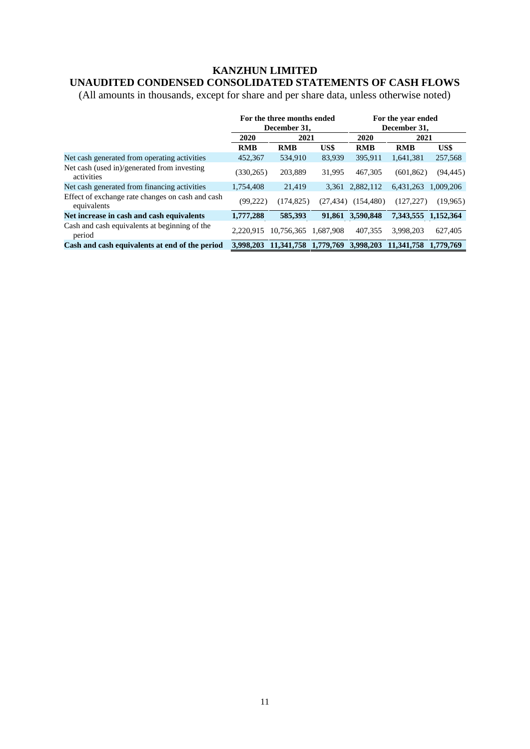# **KANZHUN LIMITED**

# **UNAUDITED CONDENSED CONSOLIDATED STATEMENTS OF CASH FLOWS**

(All amounts in thousands, except for share and per share data, unless otherwise noted)

|                                                                 | For the three months ended<br>December 31, |                                |              | For the year ended<br>December 31, |                      |           |
|-----------------------------------------------------------------|--------------------------------------------|--------------------------------|--------------|------------------------------------|----------------------|-----------|
|                                                                 | 2020<br>2021                               |                                | 2020<br>2021 |                                    |                      |           |
|                                                                 | <b>RMB</b>                                 | <b>RMB</b>                     | US\$         | <b>RMB</b>                         | <b>RMB</b>           | US\$      |
| Net cash generated from operating activities                    | 452,367                                    | 534,910                        | 83,939       | 395,911                            | 1.641.381            | 257,568   |
| Net cash (used in)/generated from investing<br>activities       | (330, 265)                                 | 203.889                        | 31.995       | 467.305                            | (601, 862)           | (94, 445) |
| Net cash generated from financing activities                    | 1.754.408                                  | 21.419                         | 3.361        | 2,882,112                          | 6.431.263            | 1.009.206 |
| Effect of exchange rate changes on cash and cash<br>equivalents | (99, 222)                                  | (174, 825)                     | (27.434)     | (154, 480)                         | (127.227)            | (19,965)  |
| Net increase in cash and cash equivalents                       | 1,777,288                                  | 585,393                        |              | 91,861 3,590,848                   | 7,343,555 1,152,364  |           |
| Cash and cash equivalents at beginning of the<br>period         | 2.220.915                                  | 10.756.365                     | 1.687.908    | 407.355                            | 3.998.203            | 627,405   |
| Cash and cash equivalents at end of the period                  | 3.998.203                                  | 11,341,758 1,779,769 3,998,203 |              |                                    | 11,341,758 1,779,769 |           |